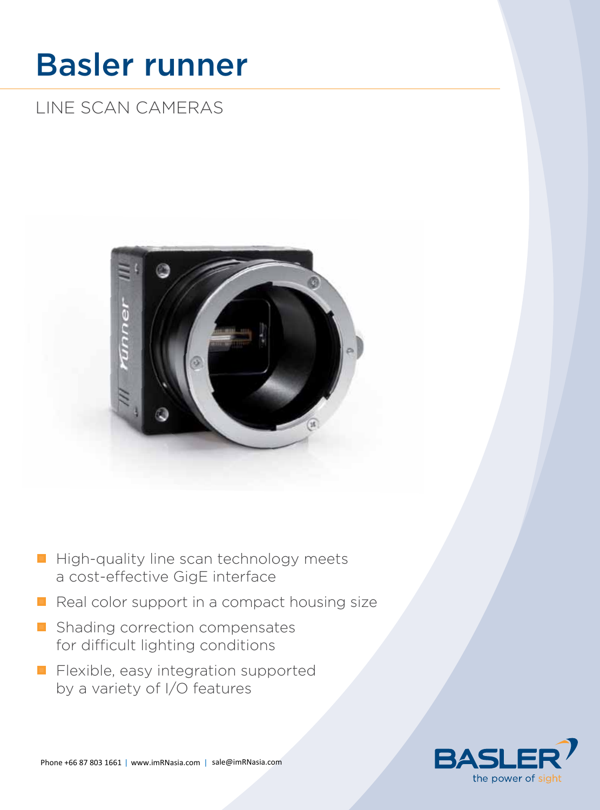# Basler runner

## LINE SCAN CAMERAS



- $\blacksquare$  High-quality line scan technology meets a cost-effective GigE interface
- $\blacksquare$  Real color support in a compact housing size
- Shading correction compensates for difficult lighting conditions
- **Filexible, easy integration supported** by a variety of I/O features

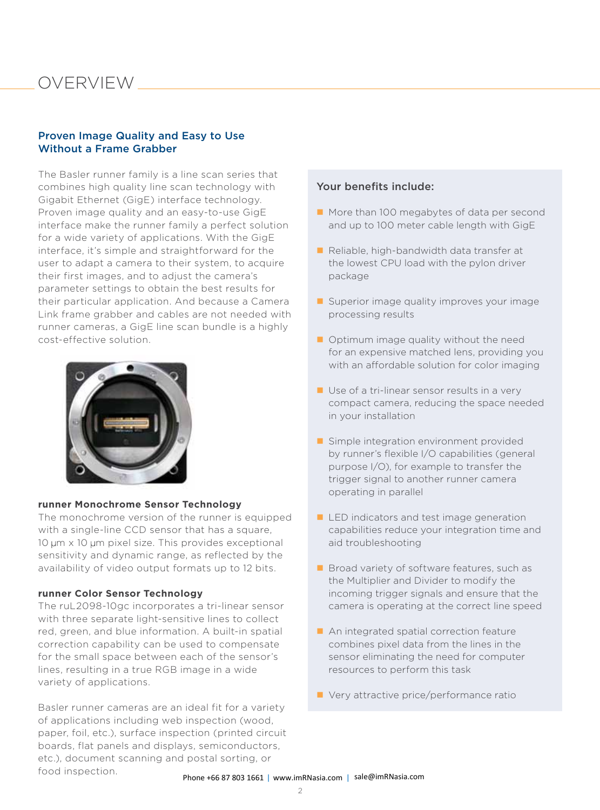### oVERVIEW

#### Proven Image Quality and Easy to Use Without a Frame Grabber

The Basler runner family is a line scan series that combines high quality line scan technology with Gigabit Ethernet (GigE) interface technology. Proven image quality and an easy-to-use GigE interface make the runner family a perfect solution for a wide variety of applications. With the GigE interface, it's simple and straightforward for the user to adapt a camera to their system, to acquire their first images, and to adjust the camera's parameter settings to obtain the best results for their particular application. And because a Camera Link frame grabber and cables are not needed with runner cameras, a GigE line scan bundle is a highly cost-effective solution.



#### **runner Monochrome Sensor Technology**

The monochrome version of the runner is equipped with a single-line CCD sensor that has a square, 10 um x 10 um pixel size. This provides exceptional sensitivity and dynamic range, as reflected by the availability of video output formats up to 12 bits.

#### **runner Color Sensor Technology**

The ruL2098-10gc incorporates a tri-linear sensor with three separate light-sensitive lines to collect red, green, and blue information. A built-in spatial correction capability can be used to compensate for the small space between each of the sensor's lines, resulting in a true RGB image in a wide variety of applications.

Basler runner cameras are an ideal fit for a variety of applications including web inspection (wood, paper, foil, etc.), surface inspection (printed circuit boards, flat panels and displays, semiconductors, etc.), document scanning and postal sorting, or food inspection.

### Your benefits include:

- More than 100 megabytes of data per second and up to 100 meter cable length with GigE
- $\blacksquare$  Reliable, high-bandwidth data transfer at the lowest CPU load with the pylon driver package
- Superior image quality improves your image processing results
- $\blacksquare$  Optimum image quality without the need for an expensive matched lens, providing you with an affordable solution for color imaging
- Use of a tri-linear sensor results in a very compact camera, reducing the space needed in your installation
- Simple integration environment provided by runner's flexible I/O capabilities (general purpose I/O), for example to transfer the trigger signal to another runner camera operating in parallel
- **LED** indicators and test image generation capabilities reduce your integration time and aid troubleshooting
- **Broad variety of software features, such as** the Multiplier and Divider to modify the incoming trigger signals and ensure that the camera is operating at the correct line speed
- An integrated spatial correction feature combines pixel data from the lines in the sensor eliminating the need for computer resources to perform this task
- Very attractive price/performance ratio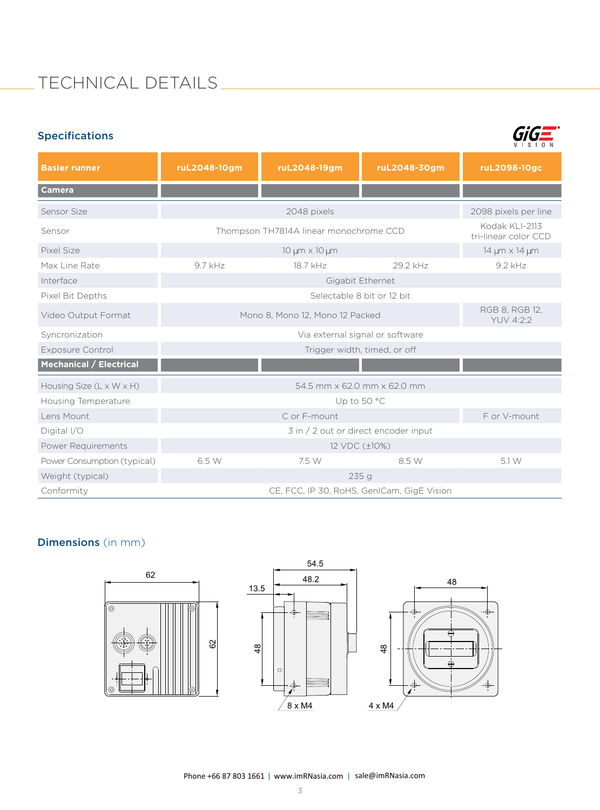### TECHNICAL DETAILS

| <b>Specifications</b>                |                                            |              |              |                                        |
|--------------------------------------|--------------------------------------------|--------------|--------------|----------------------------------------|
| <b>Basler runner</b>                 | ruL2048-10gm                               | ruL2048-19gm | ruL2048-30gm | ruL2098-10gc                           |
| <b>Camera</b>                        |                                            |              |              |                                        |
| Sensor Size                          | 2048 pixels                                |              |              | 2098 pixels per line                   |
| Sensor                               | Thompson TH7814A linear monochrome CCD     |              |              | Kodak KLI-2113<br>tri-linear color CCD |
| Pixel Size                           | 10 µm x 10 µm                              |              |              | 14 µm x 14 µm                          |
| Max Line Rate                        | 9.7 kHz                                    | 18.7 kHz     | 29.2 kHz     | 9.2 kHz                                |
| Interface                            | Gigabit Ethernet                           |              |              |                                        |
| Pixel Bit Depths                     | Selectable 8 bit or 12 bit                 |              |              |                                        |
| Video Output Format                  | Mono 8, Mono 12, Mono 12 Packed            |              |              | RGB 8, RGB 12,<br>YUV 4:2:2            |
| Syncronization                       | Via external signal or software            |              |              |                                        |
| <b>Exposure Control</b>              | Trigger width, timed, or off               |              |              |                                        |
| <b>Mechanical / Electrical</b>       |                                            |              |              |                                        |
| Housing Size $(L \times W \times H)$ | 54.5 mm x 62.0 mm x 62.0 mm                |              |              |                                        |
| Housing Temperature                  | Up to 50 °C                                |              |              |                                        |
| Lens Mount                           |                                            | C or F-mount |              | F or V-mount                           |
| Digital I/O                          | 3 in / 2 out or direct encoder input       |              |              |                                        |
| Power Requirements                   | 12 VDC (±10%)                              |              |              |                                        |
| Power Consumption (typical)          | 6.5 W                                      | 7.5 W        | 8.5 W        | 5.1 W                                  |
| Weight (typical)                     | 235q                                       |              |              |                                        |
| Conformity                           | CE, FCC, IP 30, RoHS, GenICam, GigE Vision |              |              |                                        |

### Dimensions (in mm)

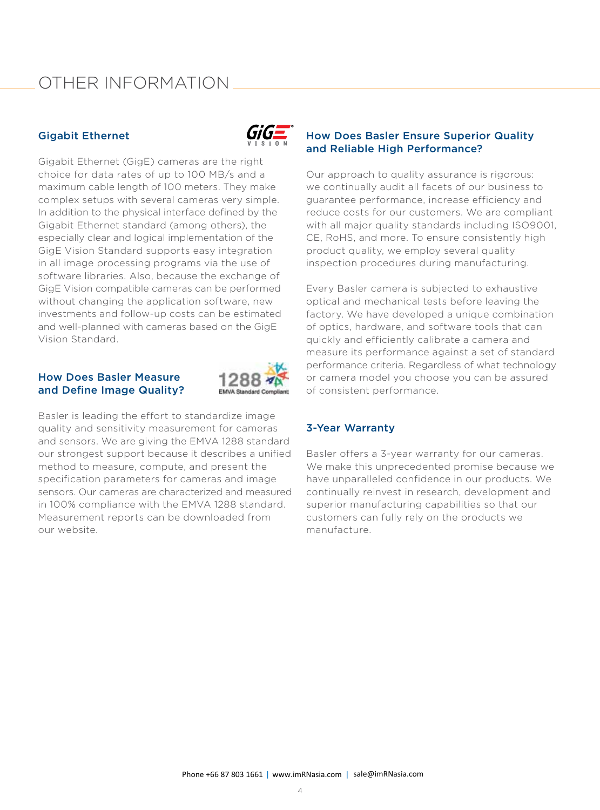### oThER INFoRMATIoN

### Gigabit Ethernet



Gigabit Ethernet (GigE) cameras are the right choice for data rates of up to 100 MB/s and a maximum cable length of 100 meters. They make complex setups with several cameras very simple. In addition to the physical interface defined by the Gigabit Ethernet standard (among others), the especially clear and logical implementation of the GigE Vision Standard supports easy integration in all image processing programs via the use of software libraries. Also, because the exchange of GigE Vision compatible cameras can be performed without changing the application software, new investments and follow-up costs can be estimated and well-planned with cameras based on the GigE Vision Standard.

#### How Does Basler Measure and Define Image Quality?



Basler is leading the effort to standardize image quality and sensitivity measurement for cameras and sensors. We are giving the EMVA 1288 standard our strongest support because it describes a unified method to measure, compute, and present the specification parameters for cameras and image sensors. Our cameras are characterized and measured in 100% compliance with the EMVA 1288 standard. Measurement reports can be downloaded from our website.

### How Does Basler Ensure Superior Quality and Reliable High Performance?

Our approach to quality assurance is rigorous: we continually audit all facets of our business to guarantee performance, increase efficiency and reduce costs for our customers. We are compliant with all major quality standards including ISO9001, CE, RoHS, and more. To ensure consistently high product quality, we employ several quality inspection procedures during manufacturing.

Every Basler camera is subjected to exhaustive optical and mechanical tests before leaving the factory. We have developed a unique combination of optics, hardware, and software tools that can quickly and efficiently calibrate a camera and measure its performance against a set of standard performance criteria. Regardless of what technology or camera model you choose you can be assured of consistent performance.

### 3-Year Warranty

Basler offers a 3-year warranty for our cameras. We make this unprecedented promise because we have unparalleled confidence in our products. We continually reinvest in research, development and superior manufacturing capabilities so that our customers can fully rely on the products we manufacture.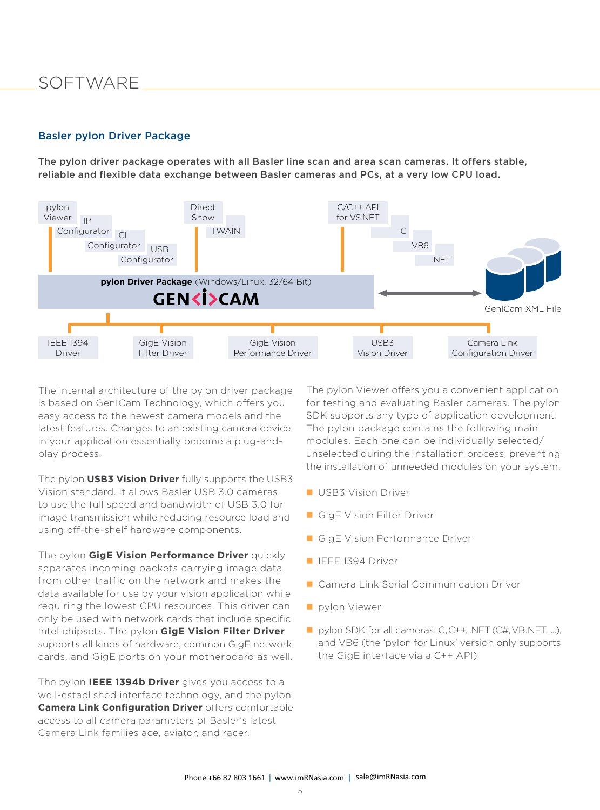### SoFTWARE

#### Basler pylon Driver Package

The pylon driver package operates with all Basler line scan and area scan cameras. It offers stable, reliable and flexible data exchange between Basler cameras and PCs, at a very low CPU load.



The internal architecture of the pylon driver package is based on GenICam Technology, which offers you easy access to the newest camera models and the latest features. Changes to an existing camera device in your application essentially become a plug-andplay process.

The pylon **USB3 Vision Driver** fully supports the USB3 Vision standard. It allows Basler USB 3.0 cameras to use the full speed and bandwidth of USB 3.0 for image transmission while reducing resource load and using off-the-shelf hardware components.

The pylon **GigE Vision Performance Driver** quickly separates incoming packets carrying image data from other traffic on the network and makes the data available for use by your vision application while requiring the lowest CPU resources. This driver can only be used with network cards that include specific Intel chipsets. The pylon **GigE Vision Filter Driver** supports all kinds of hardware, common GigE network cards, and GigE ports on your motherboard as well.

The pylon **IEEE 1394b Driver** gives you access to a well-established interface technology, and the pylon **Camera Link Configuration Driver** offers comfortable access to all camera parameters of Basler's latest Camera Link families ace, aviator, and racer.

The pylon Viewer offers you a convenient application for testing and evaluating Basler cameras. The pylon SDK supports any type of application development. The pylon package contains the following main modules. Each one can be individually selected/ unselected during the installation process, preventing the installation of unneeded modules on your system.

- **USB3 Vision Driver**
- GigE Vision Filter Driver
- GigE Vision Performance Driver
- **IEEE 1394 Driver**
- Camera Link Serial Communication Driver
- **pylon Viewer**
- pylon SDK for all cameras; C, C++, .NET (C#, VB.NET, ...), and VB6 (the 'pylon for Linux' version only supports the GigE interface via a C++ API)